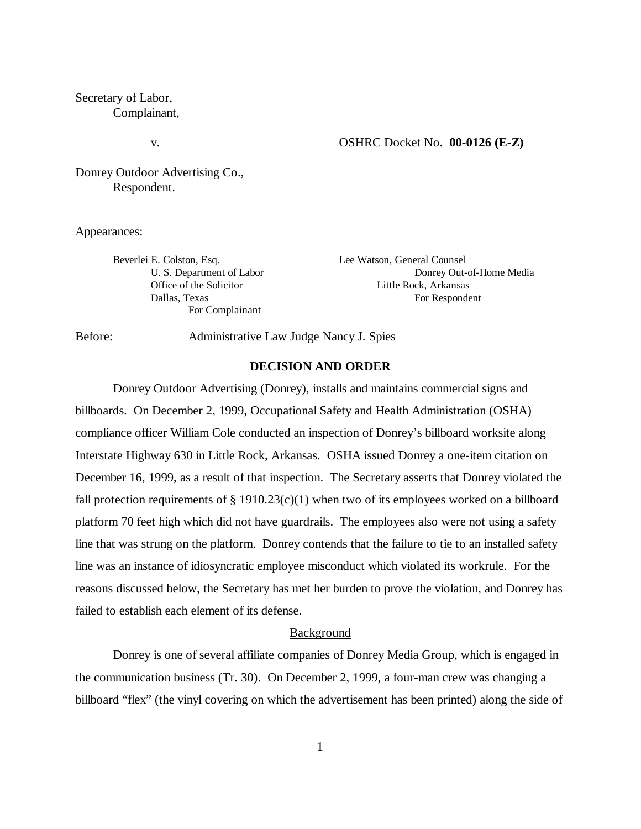Secretary of Labor, Complainant,

#### v. OSHRC Docket No. **00-0126 (E-Z)**

Donrey Outdoor Advertising Co., Respondent.

Appearances:

Beverlei E. Colston, Esq. Lee Watson, General Counsel For Complainant

U. S. Department of Labor Donrey Out-of-Home Media Office of the Solicitor Little Rock, Arkansas Dallas, Texas For Respondent

Before: Administrative Law Judge Nancy J. Spies

# **DECISION AND ORDER**

Donrey Outdoor Advertising (Donrey), installs and maintains commercial signs and billboards. On December 2, 1999, Occupational Safety and Health Administration (OSHA) compliance officer William Cole conducted an inspection of Donrey's billboard worksite along Interstate Highway 630 in Little Rock, Arkansas. OSHA issued Donrey a one-item citation on December 16, 1999, as a result of that inspection. The Secretary asserts that Donrey violated the fall protection requirements of  $\S 1910.23(c)(1)$  when two of its employees worked on a billboard platform 70 feet high which did not have guardrails. The employees also were not using a safety line that was strung on the platform. Donrey contends that the failure to tie to an installed safety line was an instance of idiosyncratic employee misconduct which violated its workrule. For the reasons discussed below, the Secretary has met her burden to prove the violation, and Donrey has failed to establish each element of its defense.

### **Background**

Donrey is one of several affiliate companies of Donrey Media Group, which is engaged in the communication business (Tr. 30). On December 2, 1999, a four-man crew was changing a billboard "flex" (the vinyl covering on which the advertisement has been printed) along the side of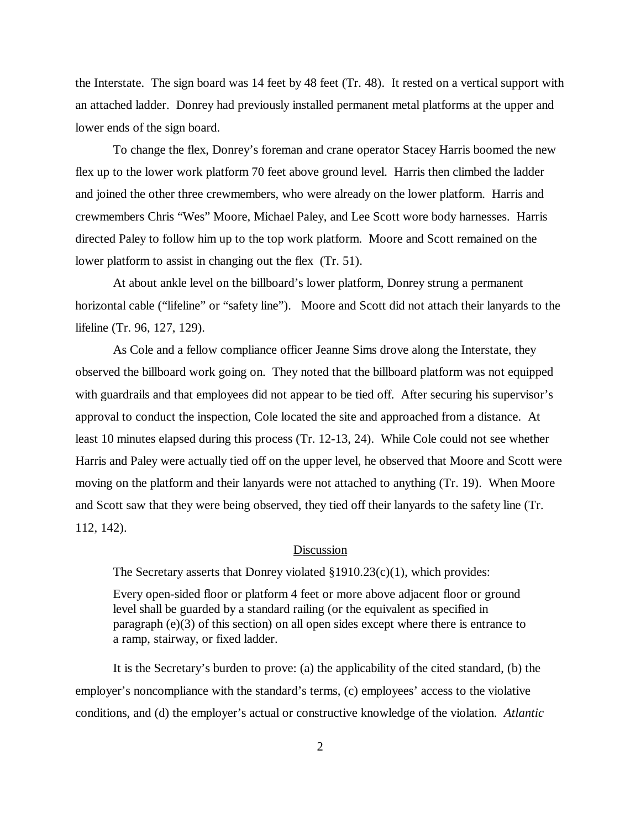the Interstate. The sign board was 14 feet by 48 feet (Tr. 48). It rested on a vertical support with an attached ladder. Donrey had previously installed permanent metal platforms at the upper and lower ends of the sign board.

To change the flex, Donrey's foreman and crane operator Stacey Harris boomed the new flex up to the lower work platform 70 feet above ground level. Harris then climbed the ladder and joined the other three crewmembers, who were already on the lower platform. Harris and crewmembers Chris "Wes" Moore, Michael Paley, and Lee Scott wore body harnesses. Harris directed Paley to follow him up to the top work platform. Moore and Scott remained on the lower platform to assist in changing out the flex (Tr. 51).

At about ankle level on the billboard's lower platform, Donrey strung a permanent horizontal cable ("lifeline" or "safety line"). Moore and Scott did not attach their lanyards to the lifeline (Tr. 96, 127, 129).

 As Cole and a fellow compliance officer Jeanne Sims drove along the Interstate, they observed the billboard work going on. They noted that the billboard platform was not equipped with guardrails and that employees did not appear to be tied off. After securing his supervisor's approval to conduct the inspection, Cole located the site and approached from a distance. At least 10 minutes elapsed during this process (Tr. 12-13, 24). While Cole could not see whether Harris and Paley were actually tied off on the upper level, he observed that Moore and Scott were moving on the platform and their lanyards were not attached to anything (Tr. 19). When Moore and Scott saw that they were being observed, they tied off their lanyards to the safety line (Tr. 112, 142).

### Discussion

The Secretary asserts that Donrey violated §1910.23(c)(1), which provides:

Every open-sided floor or platform 4 feet or more above adjacent floor or ground level shall be guarded by a standard railing (or the equivalent as specified in paragraph (e)(3) of this section) on all open sides except where there is entrance to a ramp, stairway, or fixed ladder.

It is the Secretary's burden to prove: (a) the applicability of the cited standard, (b) the employer's noncompliance with the standard's terms, (c) employees' access to the violative conditions, and (d) the employer's actual or constructive knowledge of the violation. *Atlantic*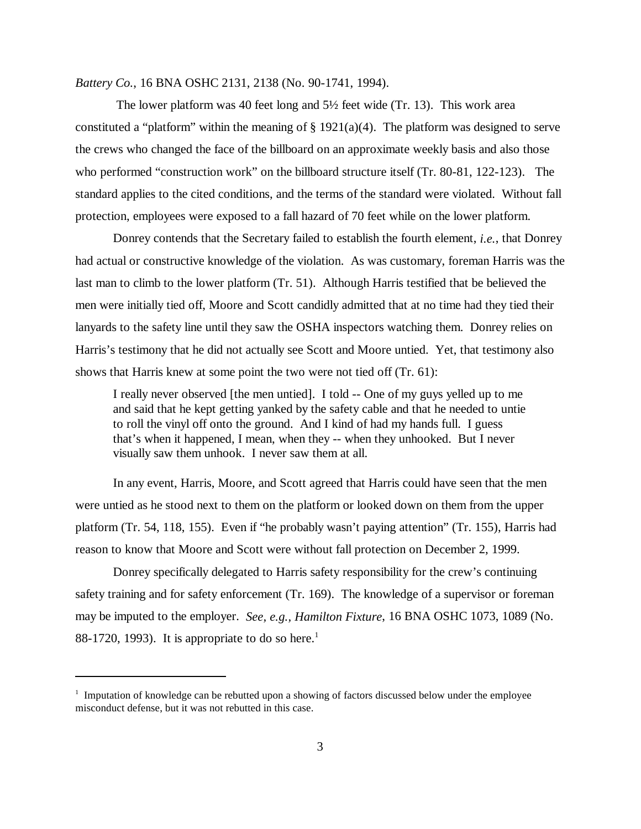*Battery Co.*, 16 BNA OSHC 2131, 2138 (No. 90-1741, 1994).

 The lower platform was 40 feet long and 5½ feet wide (Tr. 13). This work area constituted a "platform" within the meaning of  $\S 1921(a)(4)$ . The platform was designed to serve the crews who changed the face of the billboard on an approximate weekly basis and also those who performed "construction work" on the billboard structure itself (Tr. 80-81, 122-123). The standard applies to the cited conditions, and the terms of the standard were violated. Without fall protection, employees were exposed to a fall hazard of 70 feet while on the lower platform.

Donrey contends that the Secretary failed to establish the fourth element, *i.e.*, that Donrey had actual or constructive knowledge of the violation. As was customary, foreman Harris was the last man to climb to the lower platform (Tr. 51). Although Harris testified that be believed the men were initially tied off, Moore and Scott candidly admitted that at no time had they tied their lanyards to the safety line until they saw the OSHA inspectors watching them. Donrey relies on Harris's testimony that he did not actually see Scott and Moore untied. Yet, that testimony also shows that Harris knew at some point the two were not tied off (Tr. 61):

I really never observed [the men untied]. I told -- One of my guys yelled up to me and said that he kept getting yanked by the safety cable and that he needed to untie to roll the vinyl off onto the ground. And I kind of had my hands full. I guess that's when it happened, I mean, when they -- when they unhooked. But I never visually saw them unhook. I never saw them at all.

In any event, Harris, Moore, and Scott agreed that Harris could have seen that the men were untied as he stood next to them on the platform or looked down on them from the upper platform (Tr. 54, 118, 155). Even if "he probably wasn't paying attention" (Tr. 155), Harris had reason to know that Moore and Scott were without fall protection on December 2, 1999.

Donrey specifically delegated to Harris safety responsibility for the crew's continuing safety training and for safety enforcement (Tr. 169). The knowledge of a supervisor or foreman may be imputed to the employer. *See, e.g., Hamilton Fixture*, 16 BNA OSHC 1073, 1089 (No. 88-1720, 1993). It is appropriate to do so here.<sup>1</sup>

<sup>&</sup>lt;sup>1</sup> Imputation of knowledge can be rebutted upon a showing of factors discussed below under the employee misconduct defense, but it was not rebutted in this case.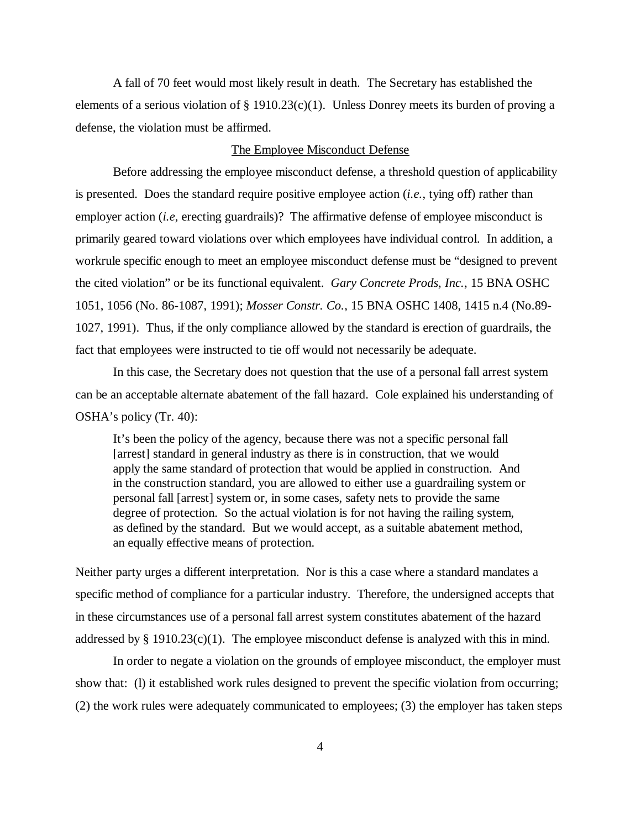A fall of 70 feet would most likely result in death. The Secretary has established the elements of a serious violation of § 1910.23(c)(1). Unless Donrey meets its burden of proving a defense, the violation must be affirmed.

### The Employee Misconduct Defense

Before addressing the employee misconduct defense, a threshold question of applicability is presented. Does the standard require positive employee action (*i.e.*, tying off) rather than employer action *(i.e.*, erecting guardrails)? The affirmative defense of employee misconduct is primarily geared toward violations over which employees have individual control. In addition, a workrule specific enough to meet an employee misconduct defense must be "designed to prevent the cited violation" or be its functional equivalent. *Gary Concrete Prods, Inc.*, 15 BNA OSHC 1051, 1056 (No. 86-1087, 1991); *Mosser Constr. Co.*, 15 BNA OSHC 1408, 1415 n.4 (No.89- 1027, 1991). Thus, if the only compliance allowed by the standard is erection of guardrails, the fact that employees were instructed to tie off would not necessarily be adequate.

In this case, the Secretary does not question that the use of a personal fall arrest system can be an acceptable alternate abatement of the fall hazard. Cole explained his understanding of OSHA's policy (Tr. 40):

It's been the policy of the agency, because there was not a specific personal fall [arrest] standard in general industry as there is in construction, that we would apply the same standard of protection that would be applied in construction. And in the construction standard, you are allowed to either use a guardrailing system or personal fall [arrest] system or, in some cases, safety nets to provide the same degree of protection. So the actual violation is for not having the railing system, as defined by the standard. But we would accept, as a suitable abatement method, an equally effective means of protection.

Neither party urges a different interpretation. Nor is this a case where a standard mandates a specific method of compliance for a particular industry. Therefore, the undersigned accepts that in these circumstances use of a personal fall arrest system constitutes abatement of the hazard addressed by  $\S$  1910.23(c)(1). The employee misconduct defense is analyzed with this in mind.

In order to negate a violation on the grounds of employee misconduct, the employer must show that: (l) it established work rules designed to prevent the specific violation from occurring; (2) the work rules were adequately communicated to employees; (3) the employer has taken steps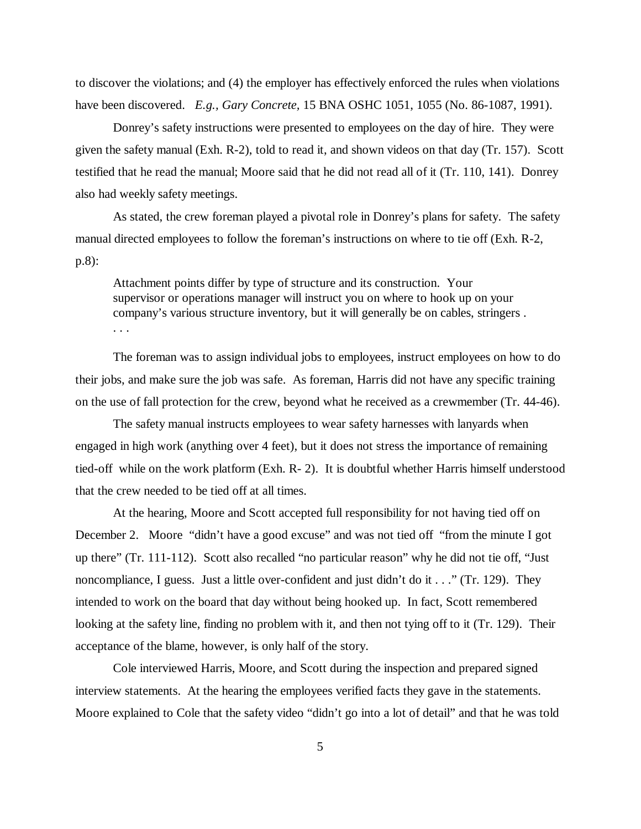to discover the violations; and (4) the employer has effectively enforced the rules when violations have been discovered. *E.g., Gary Concrete,* 15 BNA OSHC 1051, 1055 (No. 86-1087, 1991).

Donrey's safety instructions were presented to employees on the day of hire. They were given the safety manual (Exh. R-2), told to read it, and shown videos on that day (Tr. 157). Scott testified that he read the manual; Moore said that he did not read all of it (Tr. 110, 141). Donrey also had weekly safety meetings.

As stated, the crew foreman played a pivotal role in Donrey's plans for safety. The safety manual directed employees to follow the foreman's instructions on where to tie off (Exh. R-2, p.8):

Attachment points differ by type of structure and its construction. Your supervisor or operations manager will instruct you on where to hook up on your company's various structure inventory, but it will generally be on cables, stringers . . . .

The foreman was to assign individual jobs to employees, instruct employees on how to do their jobs, and make sure the job was safe. As foreman, Harris did not have any specific training on the use of fall protection for the crew, beyond what he received as a crewmember (Tr. 44-46).

The safety manual instructs employees to wear safety harnesses with lanyards when engaged in high work (anything over 4 feet), but it does not stress the importance of remaining tied-off while on the work platform (Exh. R- 2). It is doubtful whether Harris himself understood that the crew needed to be tied off at all times.

At the hearing, Moore and Scott accepted full responsibility for not having tied off on December 2. Moore "didn't have a good excuse" and was not tied off "from the minute I got up there" (Tr. 111-112). Scott also recalled "no particular reason" why he did not tie off, "Just noncompliance, I guess. Just a little over-confident and just didn't do it . . ." (Tr. 129). They intended to work on the board that day without being hooked up. In fact, Scott remembered looking at the safety line, finding no problem with it, and then not tying off to it (Tr. 129). Their acceptance of the blame, however, is only half of the story.

Cole interviewed Harris, Moore, and Scott during the inspection and prepared signed interview statements. At the hearing the employees verified facts they gave in the statements. Moore explained to Cole that the safety video "didn't go into a lot of detail" and that he was told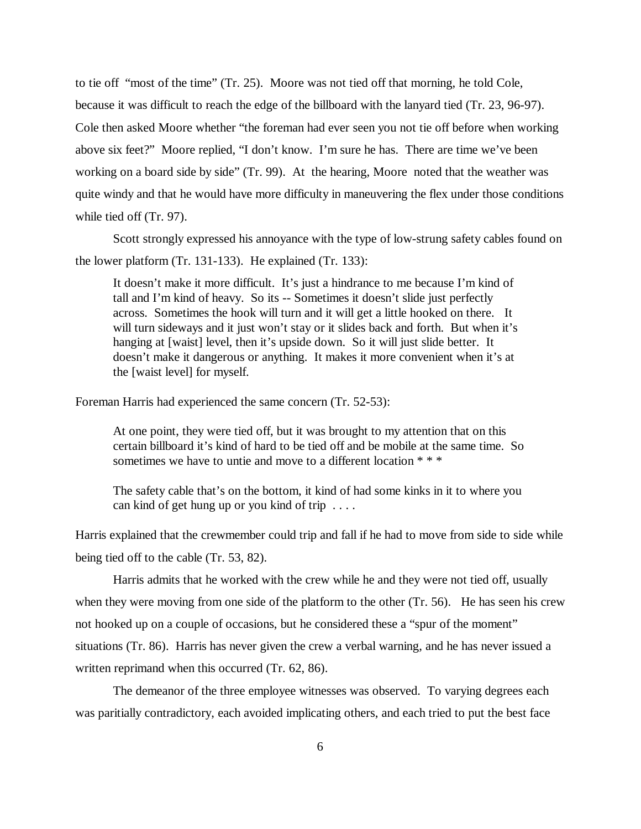to tie off "most of the time" (Tr. 25). Moore was not tied off that morning, he told Cole, because it was difficult to reach the edge of the billboard with the lanyard tied (Tr. 23, 96-97). Cole then asked Moore whether "the foreman had ever seen you not tie off before when working above six feet?" Moore replied, "I don't know. I'm sure he has. There are time we've been working on a board side by side" (Tr. 99). At the hearing, Moore noted that the weather was quite windy and that he would have more difficulty in maneuvering the flex under those conditions while tied off (Tr. 97).

Scott strongly expressed his annoyance with the type of low-strung safety cables found on the lower platform (Tr. 131-133). He explained (Tr. 133):

It doesn't make it more difficult. It's just a hindrance to me because I'm kind of tall and I'm kind of heavy. So its -- Sometimes it doesn't slide just perfectly across. Sometimes the hook will turn and it will get a little hooked on there. It will turn sideways and it just won't stay or it slides back and forth. But when it's hanging at [waist] level, then it's upside down. So it will just slide better. It doesn't make it dangerous or anything. It makes it more convenient when it's at the [waist level] for myself.

Foreman Harris had experienced the same concern (Tr. 52-53):

At one point, they were tied off, but it was brought to my attention that on this certain billboard it's kind of hard to be tied off and be mobile at the same time. So sometimes we have to untie and move to a different location  $***$ 

The safety cable that's on the bottom, it kind of had some kinks in it to where you can kind of get hung up or you kind of trip . . . .

Harris explained that the crewmember could trip and fall if he had to move from side to side while being tied off to the cable (Tr. 53, 82).

Harris admits that he worked with the crew while he and they were not tied off, usually when they were moving from one side of the platform to the other (Tr. 56). He has seen his crew not hooked up on a couple of occasions, but he considered these a "spur of the moment" situations (Tr. 86). Harris has never given the crew a verbal warning, and he has never issued a written reprimand when this occurred (Tr. 62, 86).

The demeanor of the three employee witnesses was observed. To varying degrees each was paritially contradictory, each avoided implicating others, and each tried to put the best face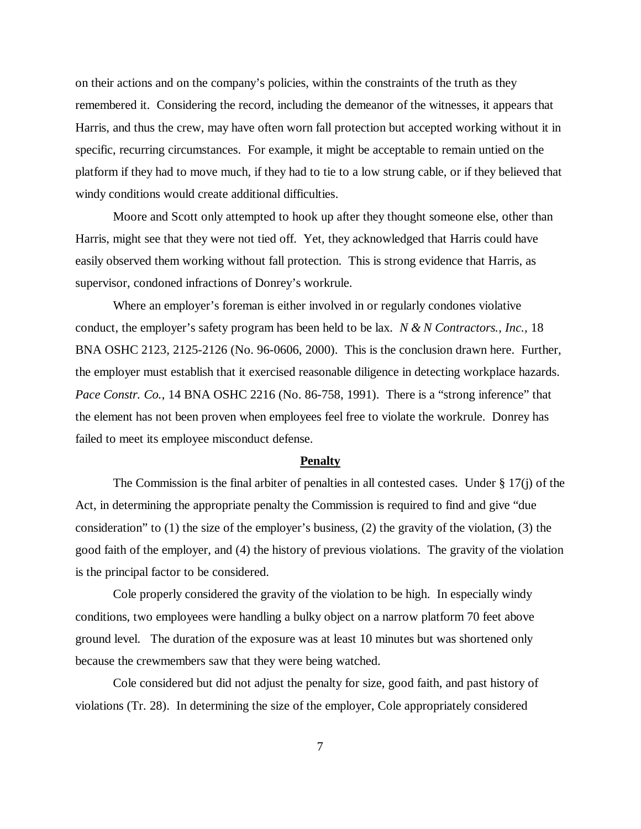on their actions and on the company's policies, within the constraints of the truth as they remembered it. Considering the record, including the demeanor of the witnesses, it appears that Harris, and thus the crew, may have often worn fall protection but accepted working without it in specific, recurring circumstances. For example, it might be acceptable to remain untied on the platform if they had to move much, if they had to tie to a low strung cable, or if they believed that windy conditions would create additional difficulties.

Moore and Scott only attempted to hook up after they thought someone else, other than Harris, might see that they were not tied off. Yet, they acknowledged that Harris could have easily observed them working without fall protection. This is strong evidence that Harris, as supervisor, condoned infractions of Donrey's workrule.

Where an employer's foreman is either involved in or regularly condones violative conduct, the employer's safety program has been held to be lax. *N & N Contractors., Inc.,* 18 BNA OSHC 2123, 2125-2126 (No. 96-0606, 2000). This is the conclusion drawn here. Further, the employer must establish that it exercised reasonable diligence in detecting workplace hazards. *Pace Constr. Co.*, 14 BNA OSHC 2216 (No. 86-758, 1991). There is a "strong inference" that the element has not been proven when employees feel free to violate the workrule. Donrey has failed to meet its employee misconduct defense.

### **Penalty**

The Commission is the final arbiter of penalties in all contested cases. Under  $\S 17(i)$  of the Act, in determining the appropriate penalty the Commission is required to find and give "due consideration" to (1) the size of the employer's business, (2) the gravity of the violation, (3) the good faith of the employer, and (4) the history of previous violations. The gravity of the violation is the principal factor to be considered.

Cole properly considered the gravity of the violation to be high. In especially windy conditions, two employees were handling a bulky object on a narrow platform 70 feet above ground level. The duration of the exposure was at least 10 minutes but was shortened only because the crewmembers saw that they were being watched.

Cole considered but did not adjust the penalty for size, good faith, and past history of violations (Tr. 28). In determining the size of the employer, Cole appropriately considered